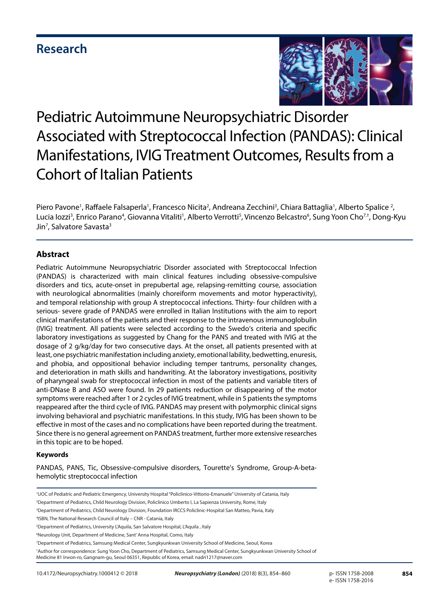# **Research**



# Pediatric Autoimmune Neuropsychiatric Disorder Associated with Streptococcal Infection (PANDAS): Clinical Manifestations, IVIG Treatment Outcomes, Results from a Cohort of Italian Patients

Piero Pavone<sup>1</sup>, Raffaele Falsaperla<sup>1</sup>, Francesco Nicita<sup>2</sup>, Andreana Zecchini<sup>3</sup>, Chiara Battaglia<sup>1</sup>, Alberto Spalice <sup>2</sup>, Lucia lozzi<sup>3</sup>, Enrico Parano<sup>4</sup>, Giovanna Vitaliti<sup>1</sup>, Alberto Verrotti<sup>5</sup>, Vincenzo Belcastro<sup>6</sup>, Sung Yoon Cho<sup>7,†</sup>, Dong-Kyu Jin<sup>7</sup>, Salvatore Savasta<sup>3</sup>

# **Abstract**

Pediatric Autoimmune Neuropsychiatric Disorder associated with Streptococcal Infection (PANDAS) is characterized with main clinical features including obsessive-compulsive disorders and tics, acute-onset in prepubertal age, relapsing-remitting course, association with neurological abnormalities (mainly choreiform movements and motor hyperactivity), and temporal relationship with group A streptococcal infections. Thirty- four children with a serious- severe grade of PANDAS were enrolled in Italian Institutions with the aim to report clinical manifestations of the patients and their response to the intravenous immunoglobulin (IVIG) treatment. All patients were selected according to the Swedo's criteria and specific laboratory investigations as suggested by Chang for the PANS and treated with IVIG at the dosage of 2 g/kg/day for two consecutive days. At the onset, all patients presented with at least, one psychiatric manifestation including anxiety, emotional lability, bedwetting, enuresis, and phobia, and oppositional behavior including temper tantrums, personality changes, and deterioration in math skills and handwriting. At the laboratory investigations, positivity of pharyngeal swab for streptococcal infection in most of the patients and variable titers of anti-DNase B and ASO were found. In 29 patients reduction or disappearing of the motor symptoms were reached after 1 or 2 cycles of IVIG treatment, while in 5 patients the symptoms reappeared after the third cycle of IVIG. PANDAS may present with polymorphic clinical signs involving behavioral and psychiatric manifestations. In this study, IVIG has been shown to be effective in most of the cases and no complications have been reported during the treatment. Since there is no general agreement on PANDAS treatment, further more extensive researches in this topic are to be hoped.

# **Keywords**

PANDAS, PANS, Tic, Obsessive-compulsive disorders, Tourette's Syndrome, Group-A-betahemolytic streptococcal infection

<sup>&</sup>lt;sup>1</sup>UOC of Pediatric and Pediatric Emergency, University Hospital "Policlinico-Vittorio-Emanuele" University of Catania, Italy

<sup>2</sup> Department of Pediatrics, Child Neurology Division, Policlinico Umberto I, La Sapienza University, Rome, Italy

<sup>3</sup> Department of Pediatrics, Child Neurology Division, Foundation IRCCS Policlinic-Hospital San Matteo, Pavia, Italy

<sup>4</sup> ISBN, The National Research Council of Italy – CNR - Catania, Italy

<sup>5</sup> Department of Pediatrics, University L'Aquila, San Salvatore Hospital, L'Aquila , Italy

<sup>6</sup> Neurology Unit, Department of Medicine, Sant' Anna Hospital, Como, Italy

<sup>7</sup> Department of Pediatrics, Samsung Medical Center, Sungkyunkwan University School of Medicine, Seoul, Korea

<sup>†</sup> Author for correspondence: Sung Yoon Cho, Department of Pediatrics, Samsung Medical Center, Sungkyunkwan University School of Medicine 81 Irwon-ro, Gangnam-gu, Seoul 06351, Republic of Korea, email: nadri1217@naver.com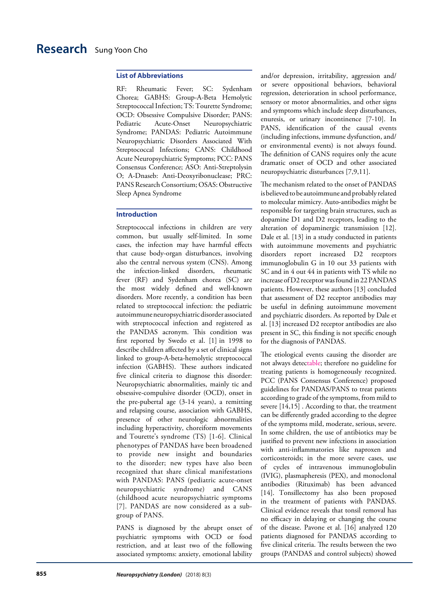### **List of Abbreviations**

RF: Rheumatic Fever; SC: Sydenham Chorea; GABHS: Group-A-Beta Hemolytic Streptococcal Infection; TS: Tourette Syndrome; OCD: Obsessive Compulsive Disorder; PANS: Pediatric Acute-Onset Neuropsychiatric Syndrome; PANDAS: Pediatric Autoimmune Neuropsychiatric Disorders Associated With Streptococcal Infections; CANS: Childhood Acute Neuropsychiatric Symptoms; PCC: PANS Consensus Conference; ASO: Anti-Streptolysin O; A-Dnaseb: Anti-Deoxyribonuclease; PRC: PANS Research Consortium; OSAS: Obstructive Sleep Apnea Syndrome

### **Introduction**

Streptococcal infections in children are very common, but usually self-limited. In some cases, the infection may have harmful effects that cause body-organ disturbances, involving also the central nervous system (CNS). Among the infection-linked disorders, rheumatic fever (RF) and Sydenham chorea (SC) are the most widely defined and well-known disorders. More recently, a condition has been related to streptococcal infection: the pediatric autoimmune neuropsychiatric disorder associated with streptococcal infection and registered as the PANDAS acronym. This condition was first reported by Swedo et al. [1] in 1998 to describe children affected by a set of clinical signs linked to group-A-beta-hemolytic streptococcal infection (GABHS). These authors indicated five clinical criteria to diagnose this disorder: Neuropsychiatric abnormalities, mainly tic and obsessive-compulsive disorder (OCD), onset in the pre-pubertal age (3-14 years), a remitting and relapsing course, association with GABHS, presence of other neurologic abnormalities including hyperactivity, choreiform movements and Tourette's syndrome (TS) [1-6]. Clinical phenotypes of PANDAS have been broadened to provide new insight and boundaries to the disorder; new types have also been recognized that share clinical manifestations with PANDAS: PANS (pediatric acute-onset neuropsychiatric syndrome) and CANS (childhood acute neuropsychiatric symptoms [7]. PANDAS are now considered as a subgroup of PANS.

PANS is diagnosed by the abrupt onset of psychiatric symptoms with OCD or food restriction, and at least two of the following associated symptoms: anxiety, emotional lability

and/or depression, irritability, aggression and/ or severe oppositional behaviors, behavioral regression, deterioration in school performance, sensory or motor abnormalities, and other signs and symptoms which include sleep disturbances, enuresis, or urinary incontinence [7-10]. In PANS, identification of the causal events (including infections, immune dysfunction, and/ or environmental events) is not always found. The definition of CANS requires only the acute dramatic onset of OCD and other associated neuropsychiatric disturbances [7,9,11].

The mechanism related to the onset of PANDAS is believed to be autoimmune and probably related to molecular mimicry. Auto-antibodies might be responsible for targeting brain structures, such as dopamine D1 and D2 receptors, leading to the alteration of dopaminergic transmission [12]. Dale et al. [13] in a study conducted in patients with autoimmune movements and psychiatric disorders report increased D2 receptors immunoglobulin G in 10 out 33 patients with SC and in 4 out 44 in patients with TS while no increase of D2 receptor was found in 22 PANDAS patients. However, these authors [13] concluded that assessment of D2 receptor antibodies may be useful in defining autoimmune movement and psychiatric disorders. As reported by Dale et al. [13] increased D2 receptor antibodies are also present in SC, this finding is not specific enough for the diagnosis of PANDAS.

The etiological events causing the disorder are not always detectable; therefore no guideline for treating patients is homogeneously recognized. PCC (PANS Consensus Conference) proposed guidelines for PANDAS/PANS to treat patients according to grade of the symptoms, from mild to severe [14,15] . According to that, the treatment can be differently graded according to the degree of the symptoms mild, moderate, serious, severe. In some children, the use of antibiotics may be justified to prevent new infections in association with anti-inflammatories like naproxen and corticosteroids; in the more severe cases, use of cycles of intravenous immunoglobulin (IVIG), plasmapheresis (PEX), and monoclonal antibodies (Rituximab) has been advanced [14]. Tonsillectomy has also been proposed in the treatment of patients with PANDAS. Clinical evidence reveals that tonsil removal has no efficacy in delaying or changing the course of the disease. Pavone et al. [16] analyzed 120 patients diagnosed for PANDAS according to five clinical criteria. The results between the two groups (PANDAS and control subjects) showed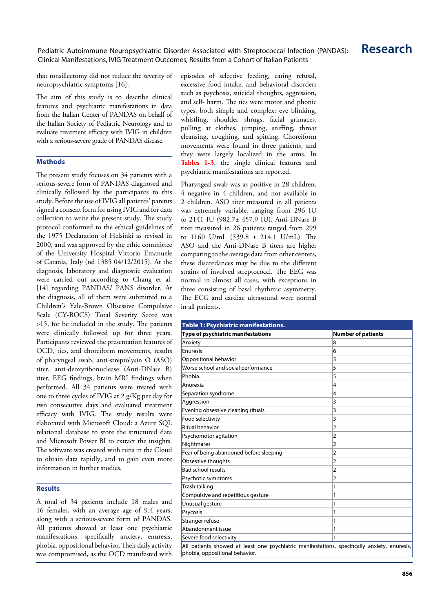# Pediatric Autoimmune Neuropsychiatric Disorder Associated with Streptococcal Infection (PANDAS): **Research** Clinical Manifestations, IVIG Treatment Outcomes, Results from a Cohort of Italian Patients

that tonsillectomy did not reduce the severity of neuropsychiatric symptoms [16].

The aim of this study is to describe clinical features and psychiatric manifestations in data from the Italian Center of PANDAS on behalf of the Italian Society of Pediatric Neurology and to evaluate treatment efficacy with IVIG in children with a serious-severe grade of PANDAS disease.

### **Methods**

The present study focuses on 34 patients with a serious-severe form of PANDAS diagnosed and clinically followed by the participants to this study. Before the use of IVIG all patients' parents signed a consent form for using IVIG and for data collection to write the present study. The study protocol conformed to the ethical guidelines of the 1975 Declaration of Helsinki as revised in 2000, and was approved by the ethic committee of the University Hospital Vittorio Emanuele of Catania, Italy (nd 1385 04/12/2015). At the diagnosis, laboratory and diagnostic evaluation were carried out according to Chang et al. [14] regarding PANDAS/ PANS disorder. At the diagnosis, all of them were submitted to a Children's Yale-Brown Obsessive Compulsive Scale (CY-BOCS) Total Severity Score was >15, for be included in the study. The patients were clinically followed up for three years. Participants reviewed the presentation features of OCD, tics, and choreiform movements, results of pharyngeal swab, anti-streptolysin O (ASO) titer, anti-deoxyribonuclease (Anti-DNase B) titer, EEG findings, brain MRI findings when performed. All 34 patients were treated with one to three cycles of IVIG at 2 g/Kg per day for two consecutive days and evaluated treatment efficacy with IVIG. The study results were elaborated with Microsoft Cloud: a Azure SQL relational database to store the structured data and Microsoft Power BI to extract the insights. The software was created with runs in the Cloud to obtain data rapidly, and to gain even more information in further studies.

# **Results**

A total of 34 patients include 18 males and 16 females, with an average age of 9.4 years, along with a serious-severe form of PANDAS. All patients showed at least one psychiatric manifestations, specifically anxiety, enuresis, phobia, oppositional behavior. Their daily activity was compromised, as the OCD manifested with episodes of selective feeding, eating refusal, excessive food intake, and behavioral disorders such as psychosis, suicidal thoughts, aggression, and self- harm. The tics were motor and phonic types, both simple and complex: eye blinking, whistling, shoulder shrugs, facial grimaces, pulling at clothes, jumping, sniffing, throat cleansing, coughing, and spitting. Choreiform movements were found in three patients, and they were largely localized in the arms. In **Tables 1-3**, the single clinical features and psychiatric manifestations are reported.

Pharyngeal swab was as positive in 28 children, 4 negative in 4 children, and not available in 2 children. ASO titer measured in all patients was extremely variable, ranging from 296 IU to 2141 IU (982.7± 457.9 IU). Anti-DNase B titer measured in 26 patients ranged from 299 to 1160 U/mL (539.8 ± 214.1 U/mL). The ASO and the Anti-DNase B titers are higher comparing to the average data from other centers, these discordances may be due to the different strains of involved streptococci. The EEG was normal in almost all cases, with exceptions in three consisting of basal rhythmic asymmetry. The ECG and cardiac ultrasound were normal in all patients.

| Table 1: Psychiatric manifestations.                                                                                           |                           |  |
|--------------------------------------------------------------------------------------------------------------------------------|---------------------------|--|
| Type of psychiatric manifestations                                                                                             | <b>Number of patients</b> |  |
| Anxiety                                                                                                                        | 8                         |  |
| Enuresis                                                                                                                       | 6                         |  |
| Oppositional behavior                                                                                                          | 5                         |  |
| Worse school and social performance                                                                                            | 5                         |  |
| Phobia                                                                                                                         | 5                         |  |
| Anorexia                                                                                                                       | 4                         |  |
| Separation syndrome                                                                                                            | 4                         |  |
| Aggression                                                                                                                     | 3                         |  |
| Evening obsessive cleaning rituals                                                                                             | 3                         |  |
| Food selectivity                                                                                                               | 3                         |  |
| <b>Ritual behavior</b>                                                                                                         | $\overline{2}$            |  |
| Psychomotor agitation                                                                                                          | $\overline{2}$            |  |
| Nightmares                                                                                                                     | $\overline{2}$            |  |
| Fear of being abandoned before sleeping                                                                                        | $\overline{2}$            |  |
| Obsessive thoughts                                                                                                             | $\overline{2}$            |  |
| <b>Bad school results</b>                                                                                                      | $\overline{2}$            |  |
| Psychotic symptoms                                                                                                             | $\overline{2}$            |  |
| Trash talking                                                                                                                  | 1                         |  |
| Compulsive and repetitious gesture                                                                                             | 1                         |  |
| Unusual gesture                                                                                                                | 1                         |  |
| Psycosis                                                                                                                       | 1                         |  |
| Stranger refuse                                                                                                                | 1                         |  |
| Abandonment issue                                                                                                              | 1                         |  |
| Severe food selectivity                                                                                                        | 1                         |  |
| All patients showed at least one psychiatric manifestations, specifically anxiety, enuresis,<br>phobia, oppositional behavior. |                           |  |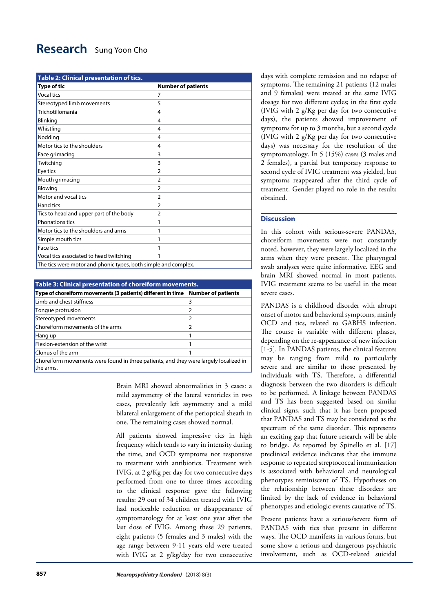# **Research** [Sung Yoon Cho](c)

| <b>Table 2: Clinical presentation of tics.</b>                 |                           |  |
|----------------------------------------------------------------|---------------------------|--|
| <b>Type of tic</b>                                             | <b>Number of patients</b> |  |
| <b>Vocal tics</b>                                              | 7                         |  |
| Stereotyped limb movements                                     | 5                         |  |
| Trichotillomania                                               | 4                         |  |
| Blinking                                                       | 4                         |  |
| Whistling                                                      | 4                         |  |
| Nodding                                                        | 4                         |  |
| Motor tics to the shoulders                                    | 4                         |  |
| Face grimacing                                                 | 3                         |  |
| Twitching                                                      | 3                         |  |
| Eye tics                                                       | $\overline{2}$            |  |
| Mouth grimacing                                                | $\overline{2}$            |  |
| Blowing                                                        | $\overline{2}$            |  |
| Motor and vocal tics                                           | $\overline{2}$            |  |
| <b>Hand tics</b>                                               | $\overline{2}$            |  |
| Tics to head and upper part of the body                        | $\overline{2}$            |  |
| Phonations tics                                                | 1                         |  |
| Motor tics to the shoulders and arms                           | 1                         |  |
| Simple mouth tics                                              | 1                         |  |
| <b>Face tics</b>                                               | 1                         |  |
| Vocal tics associated to head twitching                        | 1                         |  |
| The tics were motor and phonic types, both simple and complex. |                           |  |

| Table 3: Clinical presentation of choreiform movements.                                            |                           |  |
|----------------------------------------------------------------------------------------------------|---------------------------|--|
| Type of choreiform movements (3 patients) different in time                                        | <b>Number of patients</b> |  |
| Limb and chest stiffness                                                                           | 3                         |  |
| Tongue protrusion                                                                                  | 2                         |  |
| Stereotyped movements                                                                              | $\overline{2}$            |  |
| Choreiform movements of the arms                                                                   | 2                         |  |
| Hang up                                                                                            |                           |  |
| Flexion-extension of the wrist                                                                     |                           |  |
| Clonus of the arm                                                                                  |                           |  |
| Choreiform movements were found in three patients, and they were largely localized in<br>the arms. |                           |  |

Brain MRI showed abnormalities in 3 cases: a mild asymmetry of the lateral ventricles in two cases, prevalently left asymmetry and a mild bilateral enlargement of the perioptical sheath in one. The remaining cases showed normal.

All patients showed impressive tics in high frequency which tends to vary in intensity during the time, and OCD symptoms not responsive to treatment with antibiotics. Treatment with IVIG, at 2 g/Kg per day for two consecutive days performed from one to three times according to the clinical response gave the following results: 29 out of 34 children treated with IVIG had noticeable reduction or disappearance of symptomatology for at least one year after the last dose of IVIG. Among these 29 patients, eight patients (5 females and 3 males) with the age range between 9-11 years old were treated with IVIG at 2 g/kg/day for two consecutive days with complete remission and no relapse of symptoms. The remaining 21 patients (12 males and 9 females) were treated at the same IVIG dosage for two different cycles; in the first cycle (IVIG with 2 g/Kg per day for two consecutive days), the patients showed improvement of symptoms for up to 3 months, but a second cycle (IVIG with 2 g/Kg per day for two consecutive days) was necessary for the resolution of the symptomatology. In 5 (15%) cases (3 males and 2 females), a partial but temporary response to second cycle of IVIG treatment was yielded, but symptoms reappeared after the third cycle of treatment. Gender played no role in the results obtained.

# **Discussion**

In this cohort with serious-severe PANDAS, choreiform movements were not constantly noted, however, they were largely localized in the arms when they were present. The pharyngeal swab analyses were quite informative. EEG and brain MRI showed normal in most patients. IVIG treatment seems to be useful in the most severe cases.

PANDAS is a childhood disorder with abrupt onset of motor and behavioral symptoms, mainly OCD and tics, related to GABHS infection. The course is variable with different phases, depending on the re-appearance of new infection [1-5]. In PANDAS patients, the clinical features may be ranging from mild to particularly severe and are similar to those presented by individuals with TS. Therefore, a differential diagnosis between the two disorders is difficult to be performed. A linkage between PANDAS and TS has been suggested based on similar clinical signs, such that it has been proposed that PANDAS and TS may be considered as the spectrum of the same disorder. This represents an exciting gap that future research will be able to bridge. As reported by Spinello et al. [17] preclinical evidence indicates that the immune response to repeated streptococcal immunization is associated with behavioral and neurological phenotypes reminiscent of TS. Hypotheses on the relationship between these disorders are limited by the lack of evidence in behavioral phenotypes and etiologic events causative of TS.

Present patients have a serious/severe form of PANDAS with tics that present in different ways. The OCD manifests in various forms, but some show a serious and dangerous psychiatric involvement, such as OCD-related suicidal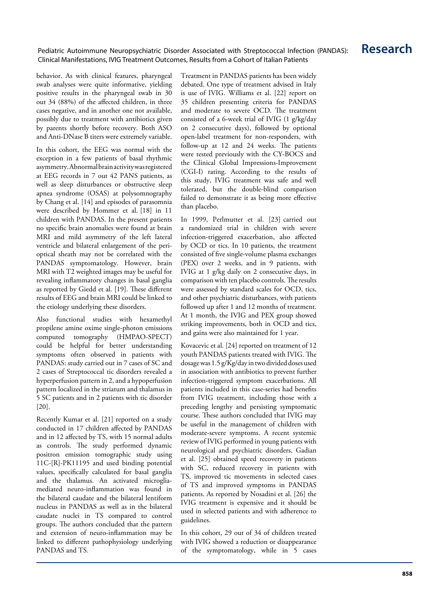# Pediatric Autoimmune Neuropsychiatric Disorder Associated with Streptococcal Infection (PANDAS): **Research** Clinical Manifestations, IVIG Treatment Outcomes, Results from a Cohort of Italian Patients

behavior. As with clinical features, pharyngeal swab analyses were quite informative, yielding positive results in the pharyngeal swab in 30 out 34 (88%) of the affected children, in three cases negative, and in another one not available, possibly due to treatment with antibiotics given by parents shortly before recovery. Both ASO and Anti-DNase B titers were extremely variable.

In this cohort, the EEG was normal with the exception in a few patients of basal rhythmic asymmetry. Abnormal brain activity was registered at EEG records in 7 out 42 PANS patients, as well as sleep disturbances or obstructive sleep apnea syndrome (OSAS) at polysomnography by Chang et al. [14] and episodes of parasomnia were described by Hommer et al. [18] in 11 children with PANDAS. In the present patients no specific brain anomalies were found at brain MRI and mild asymmetry of the left lateral ventricle and bilateral enlargement of the perioptical sheath may not be correlated with the PANDAS symptomatology. However, brain MRI with T2 weighted images may be useful for revealing inflammatory changes in basal ganglia as reported by Giedd et al. [19]. These different results of EEG and brain MRI could be linked to the etiology underlying these disorders.

Also functional studies with hexamethyl propilene amine oxime single-photon emissions computed tomography (HMPAO-SPECT) could be helpful for better understanding symptoms often observed in patients with PANDAS: study carried out in 7 cases of SC and 2 cases of Streptococcal tic disorders revealed a hyperperfusion pattern in 2, and a hypoperfusion pattern localized in the striatum and thalamus in 5 SC patients and in 2 patients with tic disorder [20].

Recently Kumar et al. [21] reported on a study conducted in 17 children affected by PANDAS and in 12 affected by TS, with 15 normal adults as controls. The study performed dynamic positron emission tomographic study using 11C-[R]-PK11195 and used binding potential values, specifically calculated for basal ganglia and the thalamus. An activated microgliamediated neuro-inflammation was found in the bilateral caudate and the bilateral lentiform nucleus in PANDAS as well as in the bilateral caudate nuclei in TS compared to control groups. The authors concluded that the pattern and extension of neuro-inflammation may be linked to different pathophysiology underlying PANDAS and TS.

Treatment in PANDAS patients has been widely debated. One type of treatment advised in Italy is use of IVIG. Williams et al. [22] report on 35 children presenting criteria for PANDAS and moderate to severe OCD. The treatment consisted of a 6-week trial of IVIG (1 g/kg/day on 2 consecutive days), followed by optional open-label treatment for non-responders, with follow-up at 12 and 24 weeks. The patients were tested previously with the CY-BOCS and the Clinical Global Impressions-Improvement (CGI-I) rating. According to the results of this study, IVIG treatment was safe and well tolerated, but the double-blind comparison failed to demonstrate it as being more effective than placebo.

In 1999, Perlmutter et al. [23] carried out a randomized trial in children with severe infection-triggered exacerbation, also affected by OCD or tics. In 10 patients, the treatment consisted of five single-volume plasma exchanges (PEX) over 2 weeks, and in 9 patients, with IVIG at 1 g/kg daily on 2 consecutive days, in comparison with ten placebo controls. The results were assessed by standard scales for OCD, tics, and other psychiatric disturbances, with patients followed up after 1 and 12 months of treatment. At 1 month, the IVIG and PEX group showed striking improvements, both in OCD and tics, and gains were also maintained for 1 year.

Kovacevic et al. [24] reported on treatment of 12 youth PANDAS patients treated with IVIG. The dosage was 1.5 g/Kg/day in two divided doses used in association with antibiotics to prevent further infection-triggered symptom exacerbations. All patients included in this case-series had benefits from IVIG treatment, including those with a preceding lengthy and persisting symptomatic course. These authors concluded that IVIG may be useful in the management of children with moderate-severe symptoms. A recent systemic review of IVIG performed in young patients with neurological and psychiatric disorders, Gadian et al. [25] obtained speed recovery in patients with SC, reduced recovery in patients with TS, improved tic movements in selected cases of TS and improved symptoms in PANDAS patients. As reported by Nosadini et al. [26] the IVIG treatment is expensive and it should be used in selected patients and with adherence to guidelines.

In this cohort, 29 out of 34 of children treated with IVIG showed a reduction or disappearance of the symptomatology, while in 5 cases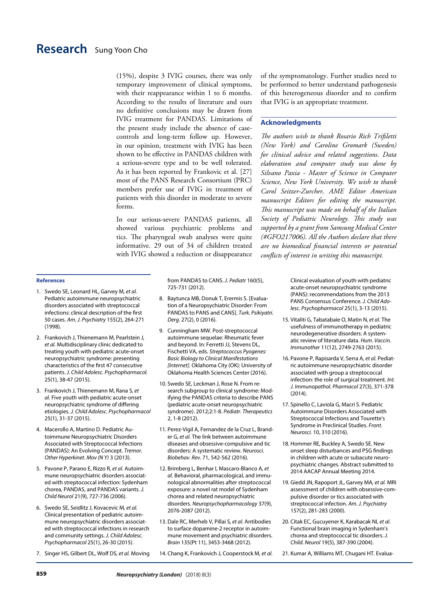(15%), despite 3 IVIG courses, there was only temporary improvement of clinical symptoms, with their reappearance within 1 to 6 months. According to the results of literature and ours no definitive conclusions may be drawn from IVIG treatment for PANDAS. Limitations of the present study include the absence of casecontrols and long-term follow up. However, in our opinion, treatment with IVIG has been shown to be effective in PANDAS children with a serious-severe type and to be well tolerated. As it has been reported by Frankovic et al. [27] most of the PANS Research Consortium (PRC) members prefer use of IVIG in treatment of patients with this disorder in moderate to severe forms.

In our serious-severe PANDAS patients, all showed various psychiatric problems and tics. The pharyngeal swab analyses were quite informative. 29 out of 34 of children treated with IVIG showed a reduction or disappearance of the symptomatology. Further studies need to be performed to better understand pathogenesis of this heterogeneous disorder and to confirm that IVIG is an appropriate treatment.

### **Acknowledgments**

*The authors wish to thank Rosario Rich Trifiletti (New York) and Caroline Gromark (Sweden) for clinical advice and related suggestions. Data elaboration and computer study was done by Silvano Paxia - Master of Science in Computer Science, New York University. We wish to thank Carol Seitzer-Zurcher, AME Editor American manuscript Editors for editing the manuscript. This manuscript was made on behalf of the Italian Society of Pediatric Neurology. This study was supported by a grant from Samsung Medical Center (#GFO217006). All the Authors declare that there are no biomedical financial interests or potential conflicts of interest in writing this manuscript.*

### **References**

- 1. Swedo SE, Leonard HL, Garvey M*, et al.* Pediatric autoimmune neuropsychiatric disorders associated with streptococcal infections: clinical description of the first 50 cases. *Am. J. Psychiatry* 155(2), 264-271 (1998).
- 2. Frankovich J, Thienemann M, Pearlstein J*, et al.* Multidisciplinary clinic dedicated to treating youth with pediatric acute-onset neuropsychiatric syndrome: presenting characteristics of the first 47 consecutive patients. *J. Child Adolesc. Psychopharmacol.* 25(1), 38-47 (2015).
- 3. Frankovich J, Thienemann M, Rana S*, et al.* Five youth with pediatric acute-onset neuropsychiatric syndrome of differing etiologies. *J. Child Adolesc. Psychopharmacol*  25(1), 31-37 (2015).
- 4. Macerollo A, Martino D. Pediatric Autoimmune Neuropsychiatric Disorders Associated with Streptococcal Infections (PANDAS): An Evolving Concept. *Tremor. Other Hyperkinet. Mov (N Y)* 3 (2013).
- 5. Pavone P, Parano E, Rizzo R*, et al.* Autoimmune neuropsychiatric disorders associated with streptococcal infection: Sydenham chorea, PANDAS, and PANDAS variants. *J. Child Neurol* 21(9), 727-736 (2006).
- 6. Swedo SE, Seidlitz J, Kovacevic M*, et al.* Clinical presentation of pediatric autoimmune neuropsychiatric disorders associated with streptococcal infections in research and community settings. *J. Child Adolesc. Psychopharmacol* 25(1), 26-30 (2015).
- 7. Singer HS, Gilbert DL, Wolf DS*, et al.* Moving

from PANDAS to CANS. *J. Pediatr* 160(5), 725-731 (2012).

- 8. Baytunca MB, Donuk T, Erermis S. [Evaluation of a Neuropsychiatric Disorder: From PANDAS to PANS and CANS]. *Turk. Psikiyatri. Derg.* 27(2), 0 (2016).
- 9. Cunningham MW. Post-streptococcal autoimmune sequelae: Rheumatic fever and beyond. In: Ferretti JJ, Stevens DL, Fischetti VA, eds. *Streptococcus Pyogenes: Basic Biology to Clinical Manifestations [Internet]*. Oklahoma City (OK): University of Oklahoma Health Sciences Center (2016).
- 10. Swedo SE, Leckman J, Rose N. From research subgroup to clinical syndrome: Modifying the PANDAS criteria to describe PANS (pediatric acute-onset neuropsychiatric syndrome). 2012;2:1-8. *Pediatr. Therapeutics* 2, 1-8 (2012).
- 11. Perez-Vigil A, Fernandez de la Cruz L, Brander G*, et al.* The link between autoimmune diseases and obsessive-compulsive and tic disorders: A systematic review. *Neurosci. Biobehav. Rev.* 71, 542-562 (2016).
- 12. Brimberg L, Benhar I, Mascaro-Blanco A*, et al.* Behavioral, pharmacological, and immunological abnormalities after streptococcal exposure: a novel rat model of Sydenham chorea and related neuropsychiatric disorders. *Neuropsychopharmacology* 37(9), 2076-2087 (2012).
- 13. Dale RC, Merheb V, Pillai S*, et al.* Antibodies to surface dopamine-2 receptor in autoimmune movement and psychiatric disorders. *Brain* 135(Pt 11), 3453-3468 (2012).
- 14. Chang K, Frankovich J, Cooperstock M*, et al.*

Clinical evaluation of youth with pediatric acute-onset neuropsychiatric syndrome (PANS): recommendations from the 2013 PANS Consensus Conference. *J. Child Adolesc. Psychopharmacol* 25(1), 3-13 (2015).

- 15. Vitaliti G, Tabatabaie O, Matin N*, et al.* The usefulness of immunotherapy in pediatric neurodegenerative disorders: A systematic review of literature data. *Hum. Vaccin. Immunother* 11(12), 2749-2763 (2015).
- 16. Pavone P, Rapisarda V, Serra A*, et al.* Pediatric autoimmune neuropsychiatric disorder associated with group a streptococcal infection: the role of surgical treatment. *Int. J. Immunopathol. Pharmacol* 27(3), 371-378 (2014).
- 17. Spinello C, Laviola G, Macri S. Pediatric Autoimmune Disorders Associated with Streptococcal Infections and Tourette's Syndrome in Preclinical Studies. *Front. Neurosci.* 10, 310 (2016).
- 18. Hommer RE, Buckley A, Swedo SE. New onset sleep disturbances and PSG findings in children with acute or subacute neuropsychiatric changes. Abstract submitted to 2014 AACAP Annual Meeting 2014.
- 19. Giedd JN, Rapoport JL, Garvey MA*, et al.* MRI assessment of children with obsessive-compulsive disorder or tics associated with streptococcal infection. *Am. J. Psychiatry* 157(2), 281-283 (2000).
- 20. Citak EC, Gucuyener K, Karabacak NI*, et al.* Functional brain imaging in Sydenham's chorea and streptococcal tic disorders. *J. Child. Neurol* 19(5), 387-390 (2004).

21. Kumar A, Williams MT, Chugani HT. Evalua-